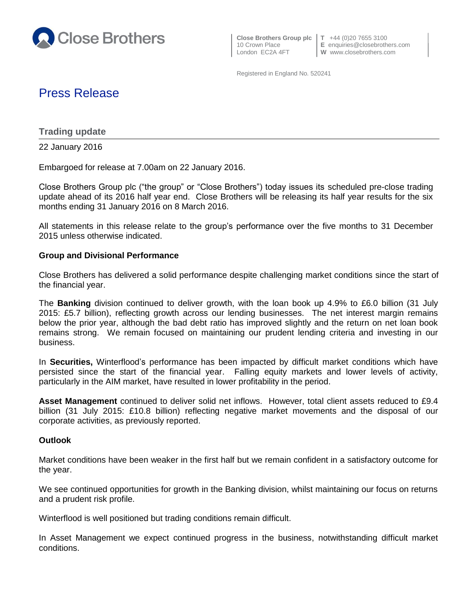

 **Close Brothers Group plc T** +44 (0)20 7655 3100 London EC2A 4FT **W** www.closebrothers.com

10 Crown Place **E** enquiries@closebrothers.com

Registered in England No. 520241

# Press Release

**Trading update**

22 January 2016

Embargoed for release at 7.00am on 22 January 2016.

Close Brothers Group plc ("the group" or "Close Brothers") today issues its scheduled pre-close trading update ahead of its 2016 half year end. Close Brothers will be releasing its half year results for the six months ending 31 January 2016 on 8 March 2016.

All statements in this release relate to the group's performance over the five months to 31 December 2015 unless otherwise indicated.

## **Group and Divisional Performance**

Close Brothers has delivered a solid performance despite challenging market conditions since the start of the financial year.

The **Banking** division continued to deliver growth, with the loan book up 4.9% to £6.0 billion (31 July 2015: £5.7 billion), reflecting growth across our lending businesses. The net interest margin remains below the prior year, although the bad debt ratio has improved slightly and the return on net loan book remains strong. We remain focused on maintaining our prudent lending criteria and investing in our business.

In **Securities,** Winterflood's performance has been impacted by difficult market conditions which have persisted since the start of the financial year. Falling equity markets and lower levels of activity, particularly in the AIM market, have resulted in lower profitability in the period.

**Asset Management** continued to deliver solid net inflows. However, total client assets reduced to £9.4 billion (31 July 2015: £10.8 billion) reflecting negative market movements and the disposal of our corporate activities, as previously reported.

## **Outlook**

Market conditions have been weaker in the first half but we remain confident in a satisfactory outcome for the year.

We see continued opportunities for growth in the Banking division, whilst maintaining our focus on returns and a prudent risk profile.

Winterflood is well positioned but trading conditions remain difficult.

In Asset Management we expect continued progress in the business, notwithstanding difficult market conditions.